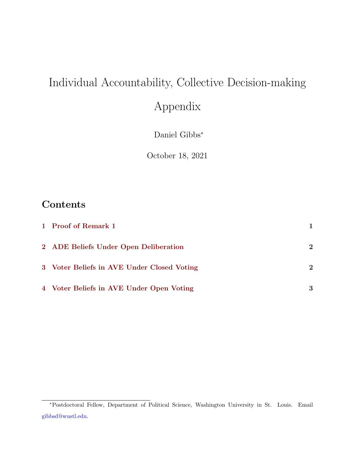# Individual Accountability, Collective Decision-making

# Appendix

Daniel Gibbs<sup>∗</sup>

October 18, 2021

### Contents

| 1 Proof of Remark 1                        |             |
|--------------------------------------------|-------------|
| 2 ADE Beliefs Under Open Deliberation      | $\mathbf 2$ |
| 3 Voter Beliefs in AVE Under Closed Voting | $\mathbf 2$ |
| 4 Voter Beliefs in AVE Under Open Voting   | 3           |

<sup>∗</sup>Postdoctoral Fellow, Department of Political Science, Washington University in St. Louis. Email [gibbsd@wustl.edu.](mailto:gibbsd@wustl.edu)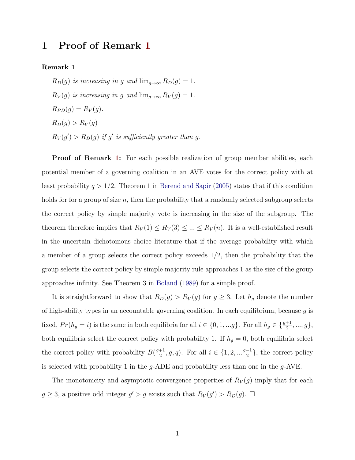#### <span id="page-1-0"></span>1 Proof of Remark [1](#page-1-1)

<span id="page-1-1"></span>Remark 1

 $R_D(g)$  is increasing in g and  $\lim_{g\to\infty} R_D(g) = 1$ .  $R_V(g)$  is increasing in g and  $\lim_{g\to\infty} R_V(g) = 1$ .  $R_{PD}(g) = R_V(g).$  $R_D(g) > R_V(g)$  $R_V(g') > R_D(g)$  if g' is sufficiently greater than g.

**Proof of Remark [1:](#page-1-1)** For each possible realization of group member abilities, each potential member of a governing coalition in an AVE votes for the correct policy with at least probability  $q > 1/2$ . Theorem 1 in [Berend and Sapir](#page-4-0) [\(2005\)](#page-4-0) states that if this condition holds for for a group of size  $n$ , then the probability that a randomly selected subgroup selects the correct policy by simple majority vote is increasing in the size of the subgroup. The theorem therefore implies that  $R_V(1) \le R_V(3) \le \dots \le R_V(n)$ . It is a well-established result in the uncertain dichotomous choice literature that if the average probability with which a member of a group selects the correct policy exceeds  $1/2$ , then the probability that the group selects the correct policy by simple majority rule approaches 1 as the size of the group approaches infinity. See Theorem 3 in [Boland](#page-4-1) [\(1989\)](#page-4-1) for a simple proof.

It is straightforward to show that  $R_D(g) > R_V(g)$  for  $g \geq 3$ . Let  $h_g$  denote the number of high-ability types in an accountable governing coalition. In each equilibrium, because  $g$  is fixed,  $Pr(h_g = i)$  is the same in both equilibria for all  $i \in \{0, 1, ..., g\}$ . For all  $h_g \in \{\frac{g+1}{2}, ..., g\}$ , both equilibria select the correct policy with probability 1. If  $h_g = 0$ , both equilibria select the correct policy with probability  $B\left(\frac{g+1}{2}\right)$  $\frac{+1}{2}, g, q$ ). For all  $i \in \{1, 2, \ldots \frac{g-1}{2}\}$  $\frac{-1}{2}$ , the correct policy is selected with probability 1 in the  $q$ -ADE and probability less than one in the  $q$ -AVE.

The monotonicity and asymptotic convergence properties of  $R_V(g)$  imply that for each  $g \geq 3$ , a positive odd integer  $g' > g$  exists such that  $R_V(g') > R_D(g)$ .  $\Box$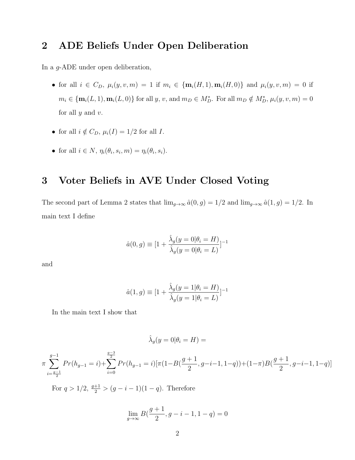#### <span id="page-2-0"></span>2 ADE Beliefs Under Open Deliberation

In a g-ADE under open deliberation,

- for all  $i \in C_D$ ,  $\mu_i(y, v, m) = 1$  if  $m_i \in {\bf m}_i(H, 1), {\bf m}_i(H, 0)$  and  $\mu_i(y, v, m) = 0$  if  $m_i \in {\mathbf{m}_i(L, 1), \mathbf{m}_i(L, 0)}$  for all  $y, v$ , and  $m_D \in M_D^*$ . For all  $m_D \notin M_D^*$ ,  $\mu_i(y, v, m) = 0$ for all  $y$  and  $v$ .
- for all  $i \notin C_D$ ,  $\mu_i(I) = 1/2$  for all I.
- for all  $i \in N$ ,  $\eta_i(\theta_i, s_i, m) = \eta_i(\theta_i, s_i)$ .

#### <span id="page-2-1"></span>3 Voter Beliefs in AVE Under Closed Voting

The second part of Lemma 2 states that  $\lim_{g\to\infty} \hat{a}(0,g) = 1/2$  and  $\lim_{g\to\infty} \hat{a}(1,g) = 1/2$ . In main text I define

$$
\hat{a}(0, g) \equiv [1 + \frac{\hat{\lambda}_g(y = 0 | \theta_i = H)}{\hat{\lambda}_g(y = 0 | \theta_i = L)}]^{-1}
$$

and

$$
\hat{a}(1,g) \equiv [1 + \frac{\hat{\lambda}_g(y=1|\theta_i = H)}{\hat{\lambda}_g(y=1|\theta_i = L)}]^{-1}
$$

In the main text I show that

$$
\hat{\lambda}_g(y=0|\theta_i=H)=
$$

$$
\pi\sum_{i=\frac{g-1}{2}}^{g-1}Pr(h_{g-1}=i)+\sum_{i=0}^{\frac{g-3}{2}}Pr(h_{g-1}=i)[\pi(1-B(\frac{g+1}{2},g-i-1,1-q))+(1-\pi)B(\frac{g+1}{2},g-i-1,1-q)]
$$

For  $q > 1/2$ ,  $\frac{q+1}{2} > (g - i - 1)(1 - q)$ . Therefore

$$
\lim_{g \to \infty} B(\frac{g+1}{2}, g - i - 1, 1 - q) = 0
$$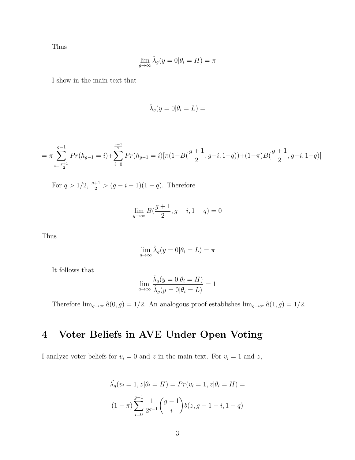Thus

$$
\lim_{g \to \infty} \hat{\lambda}_g(y=0|\theta_i = H) = \pi
$$

I show in the main text that

$$
\hat{\lambda}_g(y=0|\theta_i=L) =
$$

$$
= \pi \sum_{i=\frac{g+1}{2}}^{g-1} Pr(h_{g-1} = i) + \sum_{i=0}^{\frac{g-1}{2}} Pr(h_{g-1} = i) [\pi (1 - B(\frac{g+1}{2}, g-i, 1-q)) + (1 - \pi)B(\frac{g+1}{2}, g-i, 1-q)]
$$

For  $q > 1/2$ ,  $\frac{g+1}{2} > (g-i-1)(1-q)$ . Therefore

$$
\lim_{g \to \infty} B(\frac{g+1}{2}, g - i, 1 - q) = 0
$$

Thus

$$
\lim_{g \to \infty} \hat{\lambda}_g(y=0|\theta_i = L) = \pi
$$

It follows that

$$
\lim_{g \to \infty} \frac{\hat{\lambda}_g(y=0|\theta_i = H)}{\hat{\lambda}_g(y=0|\theta_i = L)} = 1
$$

Therefore  $\lim_{g\to\infty} \hat{a}(0,g) = 1/2$ . An analogous proof establishes  $\lim_{g\to\infty} \hat{a}(1,g) = 1/2$ .

## <span id="page-3-0"></span>4 Voter Beliefs in AVE Under Open Voting

I analyze voter beliefs for  $v_i = 0$  and z in the main text. For  $v_i = 1$  and z,

$$
\tilde{\lambda}_g(v_i = 1, z | \theta_i = H) = Pr(v_i = 1, z | \theta_i = H) =
$$

$$
(1 - \pi) \sum_{i=0}^{g-1} \frac{1}{2^{g-1}} {g-1 \choose i} b(z, g-1-i, 1-q)
$$